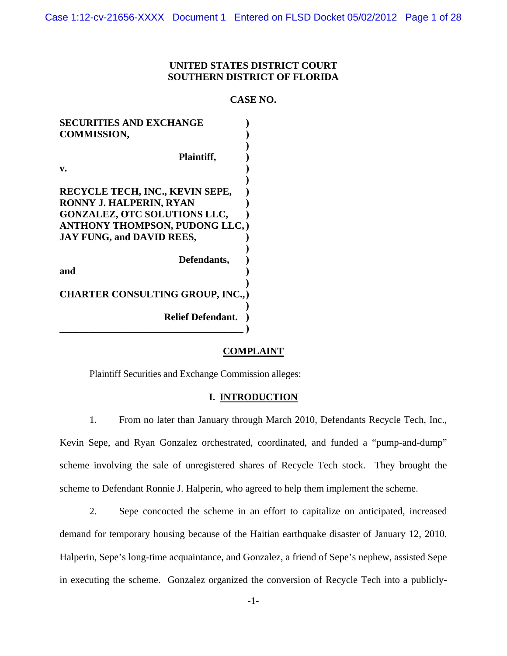## **UNITED STATES DISTRICT COURT SOUTHERN DISTRICT OF FLORIDA**

#### **CASE NO.**

| <b>SECURITIES AND EXCHANGE</b>          |  |
|-----------------------------------------|--|
| <b>COMMISSION,</b>                      |  |
|                                         |  |
| Plaintiff,                              |  |
| v.                                      |  |
|                                         |  |
| RECYCLE TECH, INC., KEVIN SEPE,         |  |
| RONNY J. HALPERIN, RYAN                 |  |
| <b>GONZALEZ, OTC SOLUTIONS LLC,</b>     |  |
| <b>ANTHONY THOMPSON, PUDONG LLC,)</b>   |  |
| <b>JAY FUNG, and DAVID REES,</b>        |  |
|                                         |  |
| Defendants,                             |  |
| and                                     |  |
|                                         |  |
| <b>CHARTER CONSULTING GROUP, INC.,)</b> |  |
|                                         |  |
| <b>Relief Defendant.</b>                |  |
|                                         |  |

#### **COMPLAINT**

Plaintiff Securities and Exchange Commission alleges:

#### **I. INTRODUCTION**

1. From no later than January through March 2010, Defendants Recycle Tech, Inc., Kevin Sepe, and Ryan Gonzalez orchestrated, coordinated, and funded a "pump-and-dump" scheme involving the sale of unregistered shares of Recycle Tech stock. They brought the scheme to Defendant Ronnie J. Halperin, who agreed to help them implement the scheme.

2. Sepe concocted the scheme in an effort to capitalize on anticipated, increased demand for temporary housing because of the Haitian earthquake disaster of January 12, 2010. Halperin, Sepe's long-time acquaintance, and Gonzalez, a friend of Sepe's nephew, assisted Sepe in executing the scheme. Gonzalez organized the conversion of Recycle Tech into a publicly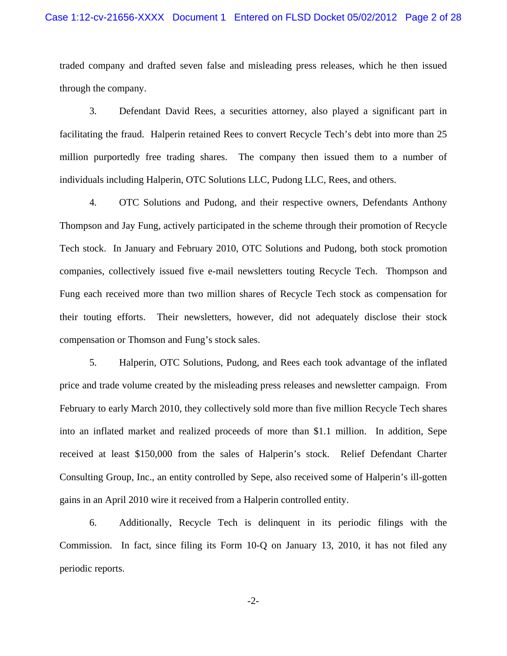traded company and drafted seven false and misleading press releases, which he then issued through the company.

3. Defendant David Rees, a securities attorney, also played a significant part in facilitating the fraud. Halperin retained Rees to convert Recycle Tech's debt into more than 25 million purportedly free trading shares. The company then issued them to a number of individuals including Halperin, OTC Solutions LLC, Pudong LLC, Rees, and others.

4. OTC Solutions and Pudong, and their respective owners, Defendants Anthony Thompson and Jay Fung, actively participated in the scheme through their promotion of Recycle Tech stock. In January and February 2010, OTC Solutions and Pudong, both stock promotion companies, collectively issued five e-mail newsletters touting Recycle Tech. Thompson and Fung each received more than two million shares of Recycle Tech stock as compensation for their touting efforts. Their newsletters, however, did not adequately disclose their stock compensation or Thomson and Fung's stock sales.

5. Halperin, OTC Solutions, Pudong, and Rees each took advantage of the inflated price and trade volume created by the misleading press releases and newsletter campaign. From February to early March 2010, they collectively sold more than five million Recycle Tech shares into an inflated market and realized proceeds of more than \$1.1 million. In addition, Sepe received at least \$150,000 from the sales of Halperin's stock. Relief Defendant Charter Consulting Group, Inc., an entity controlled by Sepe, also received some of Halperin's ill-gotten gains in an April 2010 wire it received from a Halperin controlled entity.

6. Additionally, Recycle Tech is delinquent in its periodic filings with the Commission. In fact, since filing its Form 10-Q on January 13, 2010, it has not filed any periodic reports.

-2-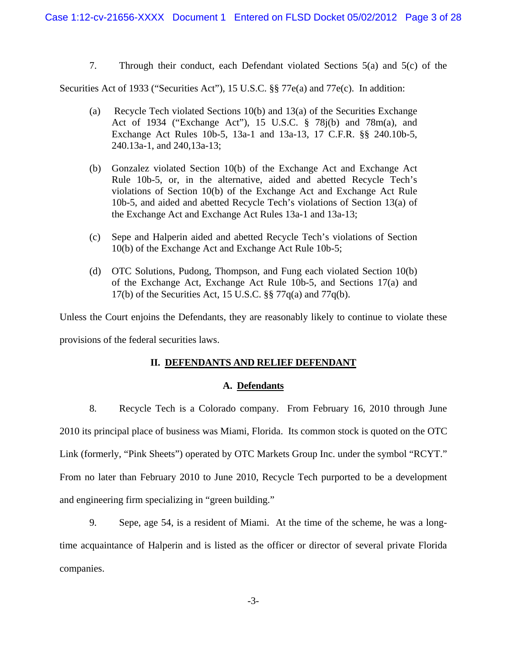7. Through their conduct, each Defendant violated Sections 5(a) and 5(c) of the

Securities Act of 1933 ("Securities Act"), 15 U.S.C. §§ 77e(a) and 77e(c). In addition:

- (a) Recycle Tech violated Sections  $10(b)$  and  $13(a)$  of the Securities Exchange Act of 1934 ("Exchange Act"), 15 U.S.C. § 78j(b) and 78m(a), and Exchange Act Rules 10b-5, 13a-1 and 13a-13, 17 C.F.R. §§ 240.10b-5, 240.13a-1, and 240,13a-13;
- (b) Gonzalez violated Section 10(b) of the Exchange Act and Exchange Act Rule 10b-5, or, in the alternative, aided and abetted Recycle Tech's violations of Section 10(b) of the Exchange Act and Exchange Act Rule 10b-5, and aided and abetted Recycle Tech's violations of Section 13(a) of the Exchange Act and Exchange Act Rules 13a-1 and 13a-13;
- (c) Sepe and Halperin aided and abetted Recycle Tech's violations of Section 10(b) of the Exchange Act and Exchange Act Rule 10b-5;
- (d) OTC Solutions, Pudong, Thompson, and Fung each violated Section 10(b) of the Exchange Act, Exchange Act Rule 10b-5, and Sections 17(a) and 17(b) of the Securities Act, 15 U.S.C.  $\S$  77q(a) and 77q(b).

Unless the Court enjoins the Defendants, they are reasonably likely to continue to violate these provisions of the federal securities laws.

# **II. DEFENDANTS AND RELIEF DEFENDANT**

## **A. Defendants**

8. Recycle Tech is a Colorado company. From February 16, 2010 through June 2010 its principal place of business was Miami, Florida. Its common stock is quoted on the OTC Link (formerly, "Pink Sheets") operated by OTC Markets Group Inc. under the symbol "RCYT." From no later than February 2010 to June 2010, Recycle Tech purported to be a development and engineering firm specializing in "green building."

9. Sepe, age 54, is a resident of Miami. At the time of the scheme, he was a longtime acquaintance of Halperin and is listed as the officer or director of several private Florida companies.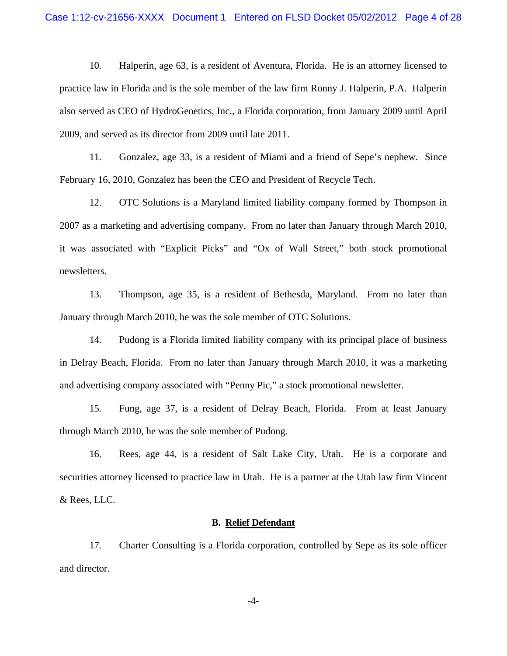10. Halperin, age 63, is a resident of Aventura, Florida. He is an attorney licensed to practice law in Florida and is the sole member of the law firm Ronny J. Halperin, P.A. Halperin also served as CEO of HydroGenetics, Inc., a Florida corporation, from January 2009 until April 2009, and served as its director from 2009 until late 2011.

11. Gonzalez, age 33, is a resident of Miami and a friend of Sepe's nephew. Since February 16, 2010, Gonzalez has been the CEO and President of Recycle Tech.

12. OTC Solutions is a Maryland limited liability company formed by Thompson in 2007 as a marketing and advertising company. From no later than January through March 2010, it was associated with "Explicit Picks" and "Ox of Wall Street," both stock promotional newsletters.

13. Thompson, age 35, is a resident of Bethesda, Maryland. From no later than January through March 2010, he was the sole member of OTC Solutions.

14. Pudong is a Florida limited liability company with its principal place of business in Delray Beach, Florida. From no later than January through March 2010, it was a marketing and advertising company associated with "Penny Pic," a stock promotional newsletter.

15. Fung, age 37, is a resident of Delray Beach, Florida. From at least January through March 2010, he was the sole member of Pudong.

16. Rees, age 44, is a resident of Salt Lake City, Utah. He is a corporate and securities attorney licensed to practice law in Utah. He is a partner at the Utah law firm Vincent & Rees, LLC.

#### **B. Relief Defendant**

17. Charter Consulting is a Florida corporation, controlled by Sepe as its sole officer and director.

-4-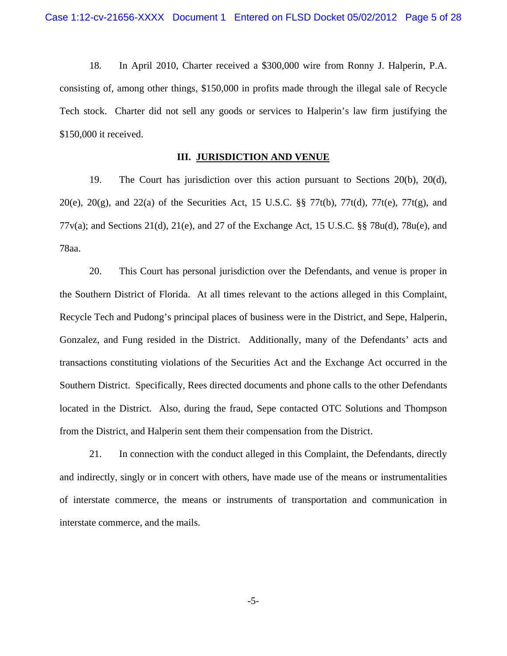18. In April 2010, Charter received a \$300,000 wire from Ronny J. Halperin, P.A. consisting of, among other things, \$150,000 in profits made through the illegal sale of Recycle Tech stock. Charter did not sell any goods or services to Halperin's law firm justifying the \$150,000 it received.

#### **III. JURISDICTION AND VENUE**

19. The Court has jurisdiction over this action pursuant to Sections 20(b), 20(d), 20(e), 20(g), and 22(a) of the Securities Act, 15 U.S.C.  $\S$  77t(b), 77t(d), 77t(e), 77t(g), and 77v(a); and Sections 21(d), 21(e), and 27 of the Exchange Act, 15 U.S.C. §§ 78u(d), 78u(e), and 78aa.

20. This Court has personal jurisdiction over the Defendants, and venue is proper in the Southern District of Florida. At all times relevant to the actions alleged in this Complaint, Recycle Tech and Pudong's principal places of business were in the District, and Sepe, Halperin, Gonzalez, and Fung resided in the District. Additionally, many of the Defendants' acts and transactions constituting violations of the Securities Act and the Exchange Act occurred in the Southern District. Specifically, Rees directed documents and phone calls to the other Defendants located in the District. Also, during the fraud, Sepe contacted OTC Solutions and Thompson from the District, and Halperin sent them their compensation from the District.

21. In connection with the conduct alleged in this Complaint, the Defendants, directly and indirectly, singly or in concert with others, have made use of the means or instrumentalities of interstate commerce, the means or instruments of transportation and communication in interstate commerce, and the mails.

-5-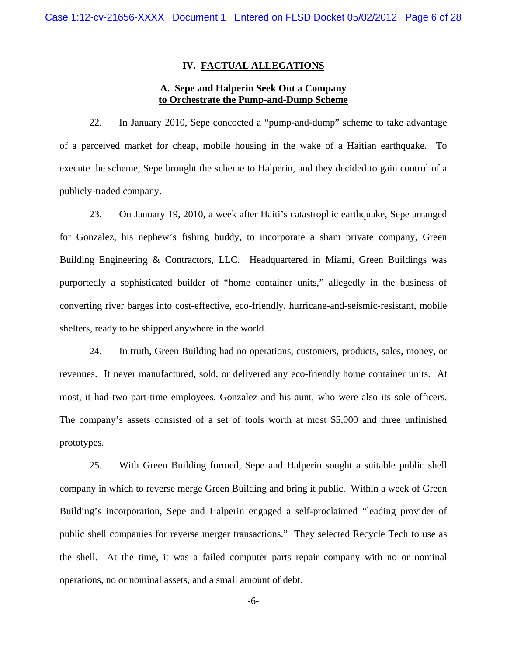#### **IV. FACTUAL ALLEGATIONS**

## **A. Sepe and Halperin Seek Out a Company to Orchestrate the Pump-and-Dump Scheme**

22. In January 2010, Sepe concocted a "pump-and-dump" scheme to take advantage of a perceived market for cheap, mobile housing in the wake of a Haitian earthquake. To execute the scheme, Sepe brought the scheme to Halperin, and they decided to gain control of a publicly-traded company.

23. On January 19, 2010, a week after Haiti's catastrophic earthquake, Sepe arranged for Gonzalez, his nephew's fishing buddy, to incorporate a sham private company, Green Building Engineering & Contractors, LLC. Headquartered in Miami, Green Buildings was purportedly a sophisticated builder of "home container units," allegedly in the business of converting river barges into cost-effective, eco-friendly, hurricane-and-seismic-resistant, mobile shelters, ready to be shipped anywhere in the world.

most, it had two part-time employees, Gonzalez and his aunt, who were also its sole officers. 24. In truth, Green Building had no operations, customers, products, sales, money, or revenues. It never manufactured, sold, or delivered any eco-friendly home container units. At The company's assets consisted of a set of tools worth at most \$5,000 and three unfinished prototypes.

25. With Green Building formed, Sepe and Halperin sought a suitable public shell company in which to reverse merge Green Building and bring it public. Within a week of Green Building's incorporation, Sepe and Halperin engaged a self-proclaimed "leading provider of public shell companies for reverse merger transactions." They selected Recycle Tech to use as the shell. At the time, it was a failed computer parts repair company with no or nominal operations, no or nominal assets, and a small amount of debt.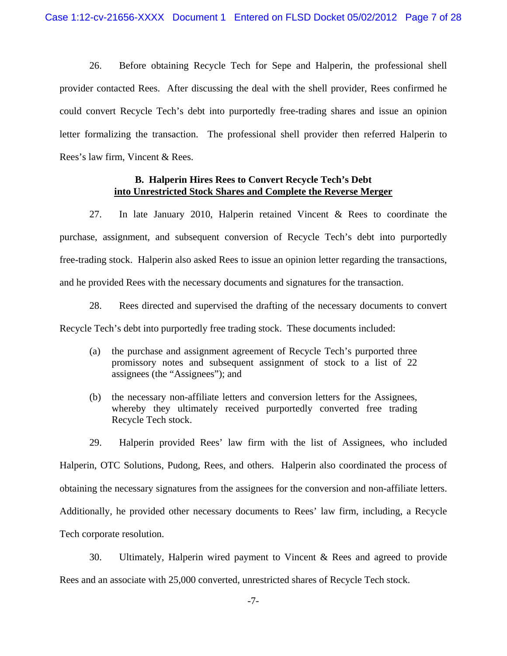26. Before obtaining Recycle Tech for Sepe and Halperin, the professional shell provider contacted Rees. After discussing the deal with the shell provider, Rees confirmed he could convert Recycle Tech's debt into purportedly free-trading shares and issue an opinion letter formalizing the transaction. The professional shell provider then referred Halperin to Rees's law firm, Vincent & Rees.

## **B. Halperin Hires Rees to Convert Recycle Tech's Debt into Unrestricted Stock Shares and Complete the Reverse Merger**

27. In late January 2010, Halperin retained Vincent & Rees to coordinate the purchase, assignment, and subsequent conversion of Recycle Tech's debt into purportedly free-trading stock. Halperin also asked Rees to issue an opinion letter regarding the transactions, and he provided Rees with the necessary documents and signatures for the transaction.

28. Rees directed and supervised the drafting of the necessary documents to convert Recycle Tech's debt into purportedly free trading stock. These documents included:

- (a) the purchase and assignment agreement of Recycle Tech's purported three promissory notes and subsequent assignment of stock to a list of 22 assignees (the "Assignees"); and
- (b) the necessary non-affiliate letters and conversion letters for the Assignees, whereby they ultimately received purportedly converted free trading Recycle Tech stock.

 obtaining the necessary signatures from the assignees for the conversion and non-affiliate letters. Additionally, he provided other necessary documents to Rees' law firm, including, a Recycle 29. Halperin provided Rees' law firm with the list of Assignees, who included Halperin, OTC Solutions, Pudong, Rees, and others. Halperin also coordinated the process of Tech corporate resolution.

30. Ultimately, Halperin wired payment to Vincent & Rees and agreed to provide Rees and an associate with 25,000 converted, unrestricted shares of Recycle Tech stock.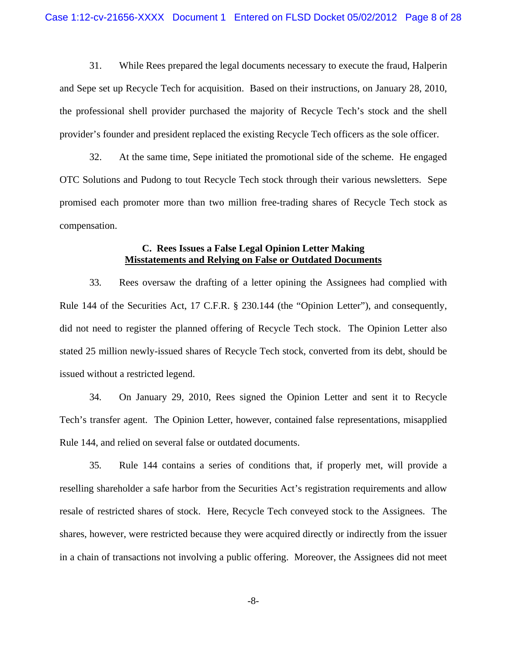31. While Rees prepared the legal documents necessary to execute the fraud, Halperin and Sepe set up Recycle Tech for acquisition. Based on their instructions, on January 28, 2010, the professional shell provider purchased the majority of Recycle Tech's stock and the shell provider's founder and president replaced the existing Recycle Tech officers as the sole officer.

32. At the same time, Sepe initiated the promotional side of the scheme. He engaged OTC Solutions and Pudong to tout Recycle Tech stock through their various newsletters. Sepe promised each promoter more than two million free-trading shares of Recycle Tech stock as compensation.

## **C. Rees Issues a False Legal Opinion Letter Making Misstatements and Relying on False or Outdated Documents**

33. Rees oversaw the drafting of a letter opining the Assignees had complied with Rule 144 of the Securities Act, 17 C.F.R. § 230.144 (the "Opinion Letter"), and consequently, did not need to register the planned offering of Recycle Tech stock. The Opinion Letter also stated 25 million newly-issued shares of Recycle Tech stock, converted from its debt, should be issued without a restricted legend.

 Tech's transfer agent. The Opinion Letter, however, contained false representations, misapplied 34. On January 29, 2010, Rees signed the Opinion Letter and sent it to Recycle Rule 144, and relied on several false or outdated documents.

35. Rule 144 contains a series of conditions that, if properly met, will provide a reselling shareholder a safe harbor from the Securities Act's registration requirements and allow resale of restricted shares of stock. Here, Recycle Tech conveyed stock to the Assignees. The shares, however, were restricted because they were acquired directly or indirectly from the issuer in a chain of transactions not involving a public offering. Moreover, the Assignees did not meet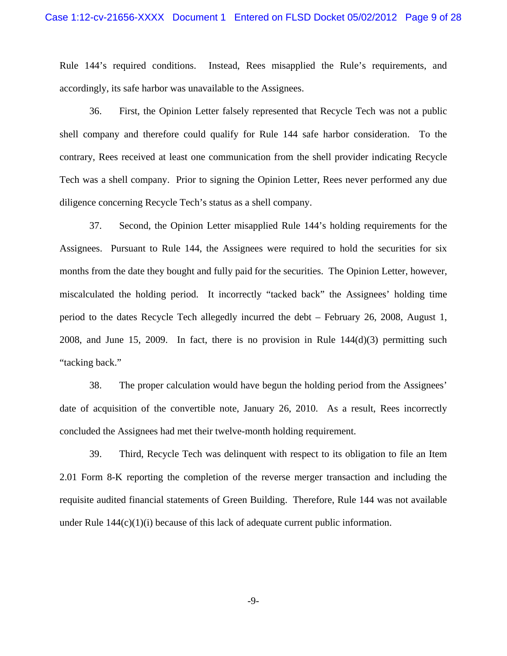accordingly, its safe harbor was unavailable to the Assignees. Rule 144's required conditions. Instead, Rees misapplied the Rule's requirements, and

36. First, the Opinion Letter falsely represented that Recycle Tech was not a public shell company and therefore could qualify for Rule 144 safe harbor consideration. To the contrary, Rees received at least one communication from the shell provider indicating Recycle Tech was a shell company. Prior to signing the Opinion Letter, Rees never performed any due diligence concerning Recycle Tech's status as a shell company.

37. Second, the Opinion Letter misapplied Rule 144's holding requirements for the Assignees. Pursuant to Rule 144, the Assignees were required to hold the securities for six months from the date they bought and fully paid for the securities. The Opinion Letter, however, miscalculated the holding period. It incorrectly "tacked back" the Assignees' holding time period to the dates Recycle Tech allegedly incurred the debt – February 26, 2008, August 1, 2008, and June 15, 2009. In fact, there is no provision in Rule 144(d)(3) permitting such "tacking back."

38. The proper calculation would have begun the holding period from the Assignees' date of acquisition of the convertible note, January 26, 2010. As a result, Rees incorrectly concluded the Assignees had met their twelve-month holding requirement.

39. Third, Recycle Tech was delinquent with respect to its obligation to file an Item 2.01 Form 8-K reporting the completion of the reverse merger transaction and including the requisite audited financial statements of Green Building. Therefore, Rule 144 was not available under Rule  $144(c)(1)(i)$  because of this lack of adequate current public information.

-9-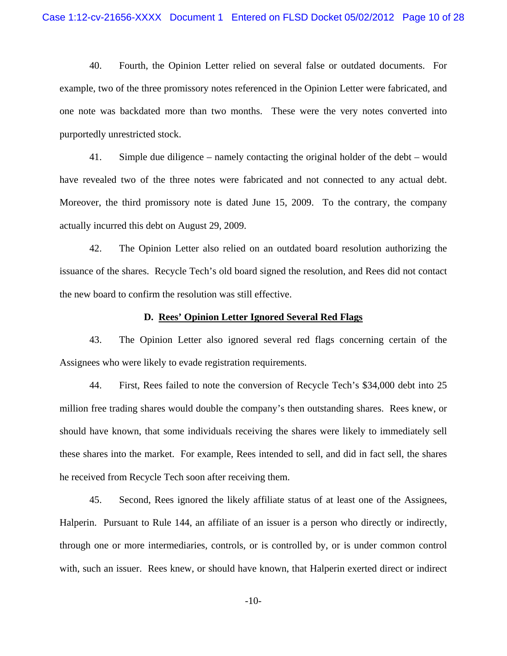40. Fourth, the Opinion Letter relied on several false or outdated documents. For example, two of the three promissory notes referenced in the Opinion Letter were fabricated, and one note was backdated more than two months. These were the very notes converted into purportedly unrestricted stock.

41. Simple due diligence – namely contacting the original holder of the debt – would have revealed two of the three notes were fabricated and not connected to any actual debt. Moreover, the third promissory note is dated June 15, 2009. To the contrary, the company actually incurred this debt on August 29, 2009.

42. The Opinion Letter also relied on an outdated board resolution authorizing the issuance of the shares. Recycle Tech's old board signed the resolution, and Rees did not contact the new board to confirm the resolution was still effective.

#### **D. Rees' Opinion Letter Ignored Several Red Flags**

43. The Opinion Letter also ignored several red flags concerning certain of the Assignees who were likely to evade registration requirements.

44. First, Rees failed to note the conversion of Recycle Tech's \$34,000 debt into 25 million free trading shares would double the company's then outstanding shares. Rees knew, or should have known, that some individuals receiving the shares were likely to immediately sell these shares into the market. For example, Rees intended to sell, and did in fact sell, the shares he received from Recycle Tech soon after receiving them.

45. Second, Rees ignored the likely affiliate status of at least one of the Assignees, Halperin. Pursuant to Rule 144, an affiliate of an issuer is a person who directly or indirectly, through one or more intermediaries, controls, or is controlled by, or is under common control with, such an issuer. Rees knew, or should have known, that Halperin exerted direct or indirect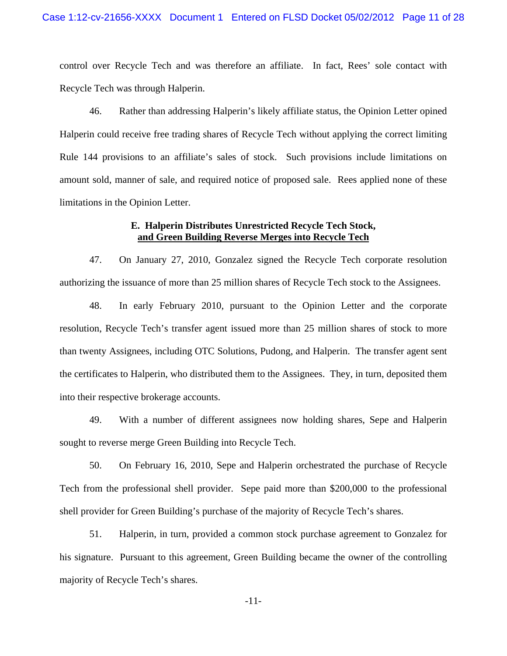control over Recycle Tech and was therefore an affiliate. In fact, Rees' sole contact with Recycle Tech was through Halperin.

46. Rather than addressing Halperin's likely affiliate status, the Opinion Letter opined Halperin could receive free trading shares of Recycle Tech without applying the correct limiting Rule 144 provisions to an affiliate's sales of stock. Such provisions include limitations on amount sold, manner of sale, and required notice of proposed sale. Rees applied none of these limitations in the Opinion Letter.

## **E. Halperin Distributes Unrestricted Recycle Tech Stock, and Green Building Reverse Merges into Recycle Tech**

47. On January 27, 2010, Gonzalez signed the Recycle Tech corporate resolution authorizing the issuance of more than 25 million shares of Recycle Tech stock to the Assignees.

48. In early February 2010, pursuant to the Opinion Letter and the corporate resolution, Recycle Tech's transfer agent issued more than 25 million shares of stock to more than twenty Assignees, including OTC Solutions, Pudong, and Halperin. The transfer agent sent the certificates to Halperin, who distributed them to the Assignees. They, in turn, deposited them into their respective brokerage accounts.

49. With a number of different assignees now holding shares, Sepe and Halperin sought to reverse merge Green Building into Recycle Tech.

50. On February 16, 2010, Sepe and Halperin orchestrated the purchase of Recycle Tech from the professional shell provider. Sepe paid more than \$200,000 to the professional shell provider for Green Building's purchase of the majority of Recycle Tech's shares.

51. Halperin, in turn, provided a common stock purchase agreement to Gonzalez for his signature. Pursuant to this agreement, Green Building became the owner of the controlling majority of Recycle Tech's shares.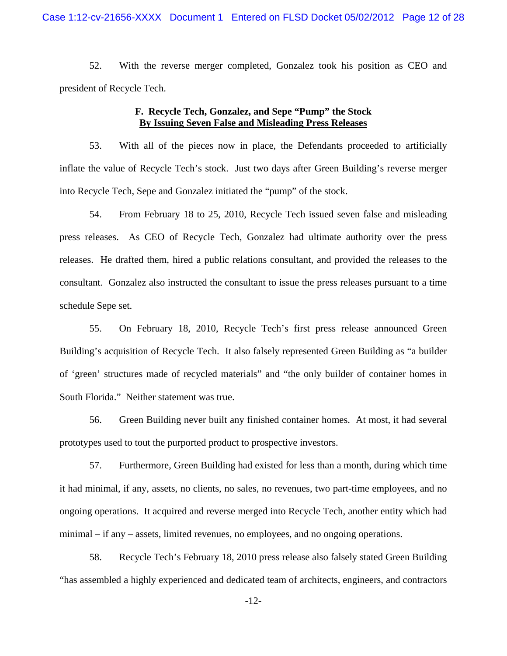52. With the reverse merger completed, Gonzalez took his position as CEO and president of Recycle Tech.

# **F. Recycle Tech, Gonzalez, and Sepe "Pump" the Stock By Issuing Seven False and Misleading Press Releases**

53. With all of the pieces now in place, the Defendants proceeded to artificially inflate the value of Recycle Tech's stock. Just two days after Green Building's reverse merger into Recycle Tech, Sepe and Gonzalez initiated the "pump" of the stock.

54. From February 18 to 25, 2010, Recycle Tech issued seven false and misleading press releases. As CEO of Recycle Tech, Gonzalez had ultimate authority over the press releases. He drafted them, hired a public relations consultant, and provided the releases to the consultant. Gonzalez also instructed the consultant to issue the press releases pursuant to a time schedule Sepe set.

55. On February 18, 2010, Recycle Tech's first press release announced Green Building's acquisition of Recycle Tech. It also falsely represented Green Building as "a builder of 'green' structures made of recycled materials" and "the only builder of container homes in South Florida." Neither statement was true.

56. Green Building never built any finished container homes. At most, it had several prototypes used to tout the purported product to prospective investors.

57. Furthermore, Green Building had existed for less than a month, during which time it had minimal, if any, assets, no clients, no sales, no revenues, two part-time employees, and no ongoing operations. It acquired and reverse merged into Recycle Tech, another entity which had minimal – if any – assets, limited revenues, no employees, and no ongoing operations.

58. Recycle Tech's February 18, 2010 press release also falsely stated Green Building "has assembled a highly experienced and dedicated team of architects, engineers, and contractors

-12-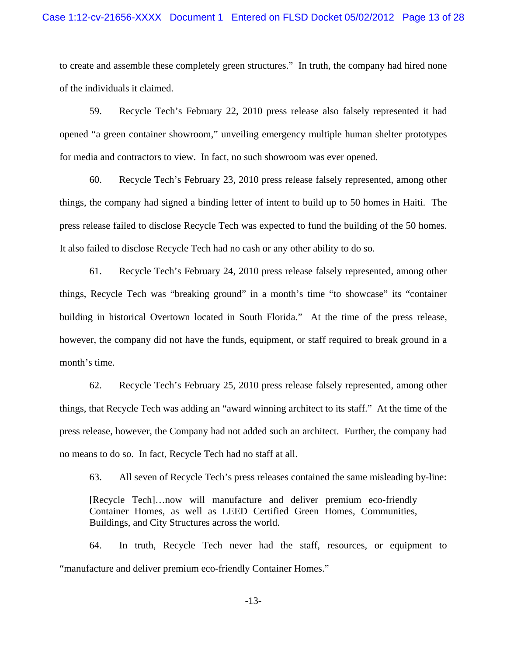to create and assemble these completely green structures." In truth, the company had hired none of the individuals it claimed.

59. Recycle Tech's February 22, 2010 press release also falsely represented it had opened "a green container showroom," unveiling emergency multiple human shelter prototypes for media and contractors to view. In fact, no such showroom was ever opened.

60. Recycle Tech's February 23, 2010 press release falsely represented, among other things, the company had signed a binding letter of intent to build up to 50 homes in Haiti. The press release failed to disclose Recycle Tech was expected to fund the building of the 50 homes. It also failed to disclose Recycle Tech had no cash or any other ability to do so.

61. Recycle Tech's February 24, 2010 press release falsely represented, among other things, Recycle Tech was "breaking ground" in a month's time "to showcase" its "container building in historical Overtown located in South Florida." At the time of the press release, however, the company did not have the funds, equipment, or staff required to break ground in a month's time.

62. Recycle Tech's February 25, 2010 press release falsely represented, among other things, that Recycle Tech was adding an "award winning architect to its staff." At the time of the press release, however, the Company had not added such an architect. Further, the company had no means to do so. In fact, Recycle Tech had no staff at all.

63. All seven of Recycle Tech's press releases contained the same misleading by-line:

[Recycle Tech]…now will manufacture and deliver premium eco-friendly Container Homes, as well as LEED Certified Green Homes, Communities, Buildings, and City Structures across the world.

64. In truth, Recycle Tech never had the staff, resources, or equipment to "manufacture and deliver premium eco-friendly Container Homes."

-13-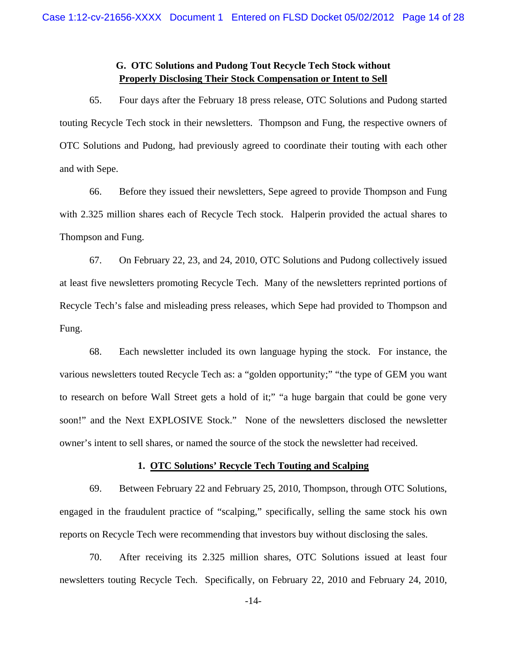# **G. OTC Solutions and Pudong Tout Recycle Tech Stock without Properly Disclosing Their Stock Compensation or Intent to Sell**

65. Four days after the February 18 press release, OTC Solutions and Pudong started touting Recycle Tech stock in their newsletters. Thompson and Fung, the respective owners of OTC Solutions and Pudong, had previously agreed to coordinate their touting with each other and with Sepe.

66. Before they issued their newsletters, Sepe agreed to provide Thompson and Fung with 2.325 million shares each of Recycle Tech stock. Halperin provided the actual shares to Thompson and Fung.

67. On February 22, 23, and 24, 2010, OTC Solutions and Pudong collectively issued at least five newsletters promoting Recycle Tech. Many of the newsletters reprinted portions of Recycle Tech's false and misleading press releases, which Sepe had provided to Thompson and Fung.

68. Each newsletter included its own language hyping the stock. For instance, the various newsletters touted Recycle Tech as: a "golden opportunity;" "the type of GEM you want to research on before Wall Street gets a hold of it;" "a huge bargain that could be gone very soon!" and the Next EXPLOSIVE Stock." None of the newsletters disclosed the newsletter owner's intent to sell shares, or named the source of the stock the newsletter had received.

#### **1. OTC Solutions' Recycle Tech Touting and Scalping**

69. Between February 22 and February 25, 2010, Thompson, through OTC Solutions, engaged in the fraudulent practice of "scalping," specifically, selling the same stock his own reports on Recycle Tech were recommending that investors buy without disclosing the sales.

70. After receiving its 2.325 million shares, OTC Solutions issued at least four newsletters touting Recycle Tech. Specifically, on February 22, 2010 and February 24, 2010,

-14-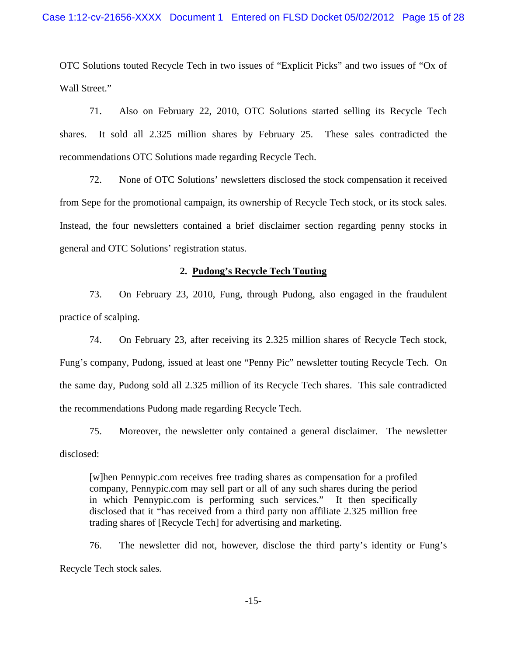OTC Solutions touted Recycle Tech in two issues of "Explicit Picks" and two issues of "Ox of Wall Street."

71. Also on February 22, 2010, OTC Solutions started selling its Recycle Tech shares. It sold all 2.325 million shares by February 25. These sales contradicted the recommendations OTC Solutions made regarding Recycle Tech.

72. None of OTC Solutions' newsletters disclosed the stock compensation it received from Sepe for the promotional campaign, its ownership of Recycle Tech stock, or its stock sales. Instead, the four newsletters contained a brief disclaimer section regarding penny stocks in general and OTC Solutions' registration status.

#### **2. Pudong's Recycle Tech Touting**

73. On February 23, 2010, Fung, through Pudong, also engaged in the fraudulent practice of scalping.

74. On February 23, after receiving its 2.325 million shares of Recycle Tech stock, Fung's company, Pudong, issued at least one "Penny Pic" newsletter touting Recycle Tech. On the same day, Pudong sold all 2.325 million of its Recycle Tech shares. This sale contradicted the recommendations Pudong made regarding Recycle Tech.

75. Moreover, the newsletter only contained a general disclaimer. The newsletter disclosed:

[w]hen Pennypic.com receives free trading shares as compensation for a profiled company, Pennypic.com may sell part or all of any such shares during the period in which Pennypic.com is performing such services." It then specifically disclosed that it "has received from a third party non affiliate 2.325 million free trading shares of [Recycle Tech] for advertising and marketing.

76. The newsletter did not, however, disclose the third party's identity or Fung's Recycle Tech stock sales.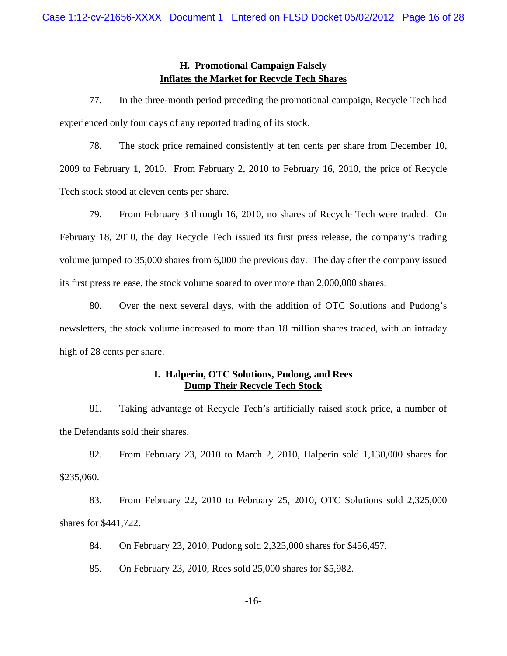# **H. Promotional Campaign Falsely Inflates the Market for Recycle Tech Shares**

77. In the three-month period preceding the promotional campaign, Recycle Tech had experienced only four days of any reported trading of its stock.

78. The stock price remained consistently at ten cents per share from December 10, 2009 to February 1, 2010. From February 2, 2010 to February 16, 2010, the price of Recycle Tech stock stood at eleven cents per share.

79. From February 3 through 16, 2010, no shares of Recycle Tech were traded. On February 18, 2010, the day Recycle Tech issued its first press release, the company's trading volume jumped to 35,000 shares from 6,000 the previous day. The day after the company issued its first press release, the stock volume soared to over more than 2,000,000 shares.

80. Over the next several days, with the addition of OTC Solutions and Pudong's newsletters, the stock volume increased to more than 18 million shares traded, with an intraday high of 28 cents per share.

# **I. Halperin, OTC Solutions, Pudong, and Rees Dump Their Recycle Tech Stock**

81. Taking advantage of Recycle Tech's artificially raised stock price, a number of the Defendants sold their shares.

82. From February 23, 2010 to March 2, 2010, Halperin sold 1,130,000 shares for \$235,060.

83. From February 22, 2010 to February 25, 2010, OTC Solutions sold 2,325,000 shares for \$441,722.

84. On February 23, 2010, Pudong sold 2,325,000 shares for \$456,457.

85. On February 23, 2010, Rees sold 25,000 shares for \$5,982.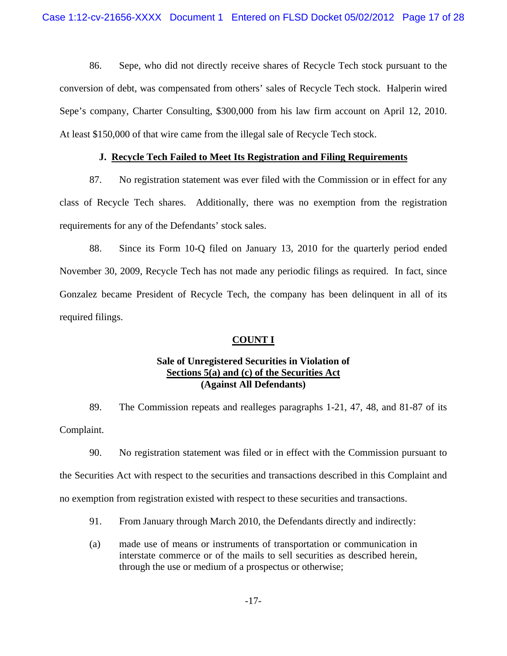86. Sepe, who did not directly receive shares of Recycle Tech stock pursuant to the conversion of debt, was compensated from others' sales of Recycle Tech stock. Halperin wired Sepe's company, Charter Consulting, \$300,000 from his law firm account on April 12, 2010. At least \$150,000 of that wire came from the illegal sale of Recycle Tech stock.

## **J. Recycle Tech Failed to Meet Its Registration and Filing Requirements**

87. No registration statement was ever filed with the Commission or in effect for any class of Recycle Tech shares. Additionally, there was no exemption from the registration requirements for any of the Defendants' stock sales.

88. Since its Form 10-Q filed on January 13, 2010 for the quarterly period ended November 30, 2009, Recycle Tech has not made any periodic filings as required. In fact, since Gonzalez became President of Recycle Tech, the company has been delinquent in all of its required filings.

## **COUNT I**

# **Sale of Unregistered Securities in Violation of Sections 5(a) and (c) of the Securities Act (Against All Defendants)**

89. The Commission repeats and realleges paragraphs 1-21, 47, 48, and 81-87 of its Complaint.

90. No registration statement was filed or in effect with the Commission pursuant to the Securities Act with respect to the securities and transactions described in this Complaint and no exemption from registration existed with respect to these securities and transactions.

- 91. From January through March 2010, the Defendants directly and indirectly:
- (a) made use of means or instruments of transportation or communication in interstate commerce or of the mails to sell securities as described herein, through the use or medium of a prospectus or otherwise;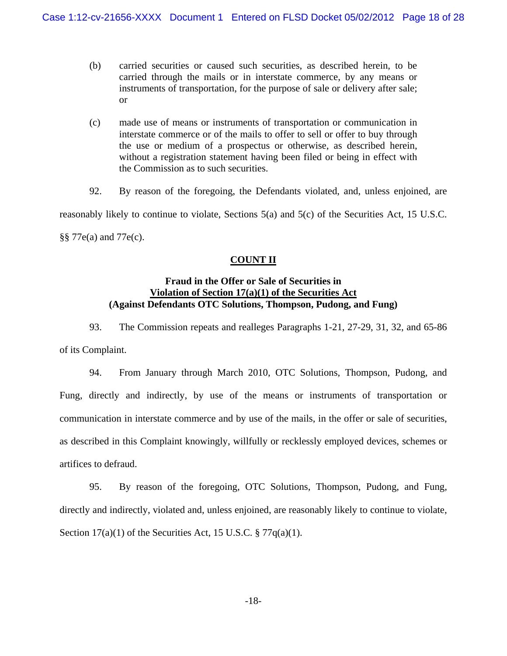- (b) carried securities or caused such securities, as described herein, to be carried through the mails or in interstate commerce, by any means or instruments of transportation, for the purpose of sale or delivery after sale; or
- (c) made use of means or instruments of transportation or communication in interstate commerce or of the mails to offer to sell or offer to buy through the use or medium of a prospectus or otherwise, as described herein, without a registration statement having been filed or being in effect with the Commission as to such securities.

92. By reason of the foregoing, the Defendants violated, and, unless enjoined, are reasonably likely to continue to violate, Sections 5(a) and 5(c) of the Securities Act, 15 U.S.C. §§ 77e(a) and 77e(c).

# **COUNT II**

# **Fraud in the Offer or Sale of Securities in Violation of Section 17(a)(1) of the Securities Act (Against Defendants OTC Solutions, Thompson, Pudong, and Fung)**

93. The Commission repeats and realleges Paragraphs 1-21, 27-29, 31, 32, and 65-86 of its Complaint.

94. From January through March 2010, OTC Solutions, Thompson, Pudong, and Fung, directly and indirectly, by use of the means or instruments of transportation or communication in interstate commerce and by use of the mails, in the offer or sale of securities, as described in this Complaint knowingly, willfully or recklessly employed devices, schemes or artifices to defraud.

95. By reason of the foregoing, OTC Solutions, Thompson, Pudong, and Fung, directly and indirectly, violated and, unless enjoined, are reasonably likely to continue to violate, Section  $17(a)(1)$  of the Securities Act, 15 U.S.C. §  $77q(a)(1)$ .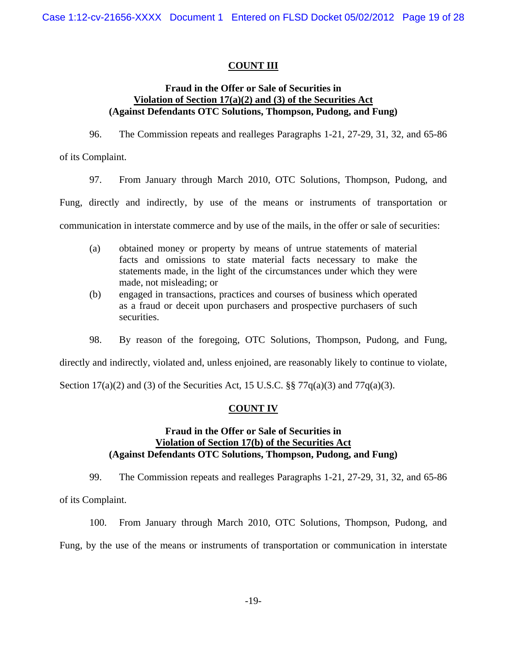# **COUNT III**

## **Fraud in the Offer or Sale of Securities in Violation of Section 17(a)(2) and (3) of the Securities Act (Against Defendants OTC Solutions, Thompson, Pudong, and Fung)**

96. The Commission repeats and realleges Paragraphs 1-21, 27-29, 31, 32, and 65-86

of its Complaint.

97. From January through March 2010, OTC Solutions, Thompson, Pudong, and

Fung, directly and indirectly, by use of the means or instruments of transportation or

communication in interstate commerce and by use of the mails, in the offer or sale of securities:

- (a) obtained money or property by means of untrue statements of material facts and omissions to state material facts necessary to make the statements made, in the light of the circumstances under which they were made, not misleading; or
- (b) engaged in transactions, practices and courses of business which operated as a fraud or deceit upon purchasers and prospective purchasers of such securities.
- 98. By reason of the foregoing, OTC Solutions, Thompson, Pudong, and Fung,

directly and indirectly, violated and, unless enjoined, are reasonably likely to continue to violate,

Section  $17(a)(2)$  and (3) of the Securities Act, 15 U.S.C. §§  $77q(a)(3)$  and  $77q(a)(3)$ .

## **COUNT IV**

## **Fraud in the Offer or Sale of Securities in Violation of Section 17(b) of the Securities Act (Against Defendants OTC Solutions, Thompson, Pudong, and Fung)**

99. The Commission repeats and realleges Paragraphs 1-21, 27-29, 31, 32, and 65-86 of its Complaint.

100. From January through March 2010, OTC Solutions, Thompson, Pudong, and Fung, by the use of the means or instruments of transportation or communication in interstate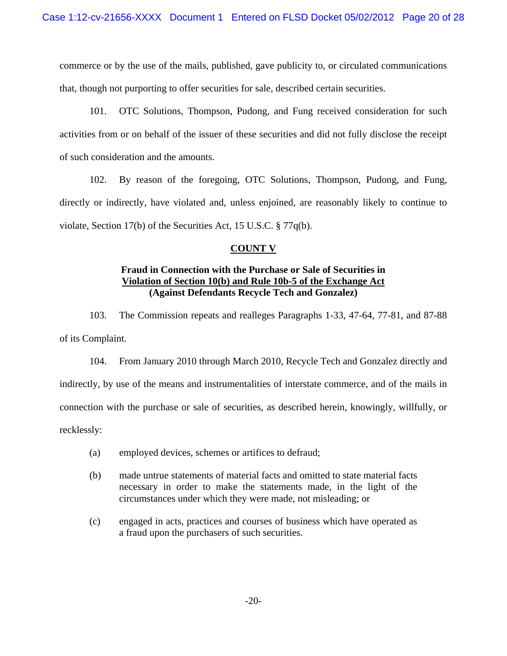commerce or by the use of the mails, published, gave publicity to, or circulated communications that, though not purporting to offer securities for sale, described certain securities.

101. OTC Solutions, Thompson, Pudong, and Fung received consideration for such activities from or on behalf of the issuer of these securities and did not fully disclose the receipt of such consideration and the amounts.

102. By reason of the foregoing, OTC Solutions, Thompson, Pudong, and Fung, directly or indirectly, have violated and, unless enjoined, are reasonably likely to continue to violate, Section 17(b) of the Securities Act, 15 U.S.C. § 77q(b).

# **COUNT V**

# **Violation of Section 10(b) and Rule 10b-5 of the Exchange Act (Against Defendants Recycle Tech and Gonzalez) Fraud in Connection with the Purchase or Sale of Securities in**

103. The Commission repeats and realleges Paragraphs 1-33, 47-64, 77-81, and 87-88 of its Complaint.

recklessly: 104. From January 2010 through March 2010, Recycle Tech and Gonzalez directly and indirectly, by use of the means and instrumentalities of interstate commerce, and of the mails in connection with the purchase or sale of securities, as described herein, knowingly, willfully, or

- (a) employed devices, schemes or artifices to defraud;
- (b) made untrue statements of material facts and omitted to state material facts necessary in order to make the statements made, in the light of the circumstances under which they were made, not misleading; or
- (c) engaged in acts, practices and courses of business which have operated as a fraud upon the purchasers of such securities.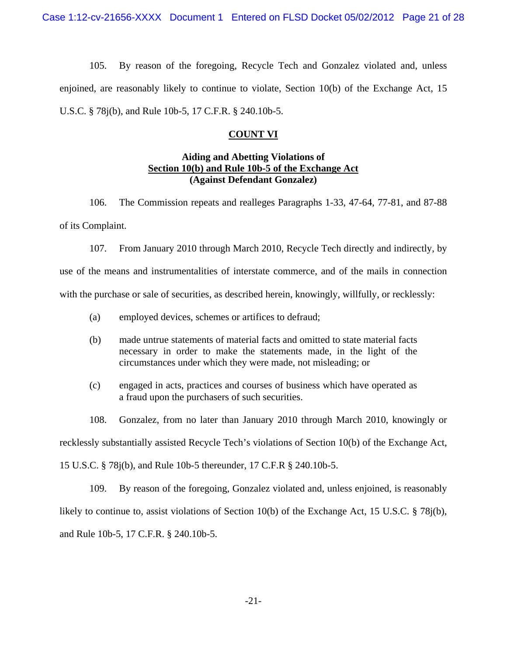105. By reason of the foregoing, Recycle Tech and Gonzalez violated and, unless enjoined, are reasonably likely to continue to violate, Section 10(b) of the Exchange Act, 15 U.S.C. § 78j(b), and Rule 10b-5, 17 C.F.R. § 240.10b-5.

## **COUNT VI**

## **Section 10(b) and Rule 10b-5 of the Exchange Act Aiding and Abetting Violations of (Against Defendant Gonzalez)**

106. The Commission repeats and realleges Paragraphs 1-33, 47-64, 77-81, and 87-88 of its Complaint.

107. From January 2010 through March 2010, Recycle Tech directly and indirectly, by use of the means and instrumentalities of interstate commerce, and of the mails in connection with the purchase or sale of securities, as described herein, knowingly, willfully, or recklessly:

- (a) employed devices, schemes or artifices to defraud;
- (b) made untrue statements of material facts and omitted to state material facts necessary in order to make the statements made, in the light of the circumstances under which they were made, not misleading; or
- (c) engaged in acts, practices and courses of business which have operated as a fraud upon the purchasers of such securities.

108. Gonzalez, from no later than January 2010 through March 2010, knowingly or recklessly substantially assisted Recycle Tech's violations of Section 10(b) of the Exchange Act, 15 U.S.C. § 78j(b), and Rule 10b-5 thereunder, 17 C.F.R § 240.10b-5.

109. By reason of the foregoing, Gonzalez violated and, unless enjoined, is reasonably likely to continue to, assist violations of Section 10(b) of the Exchange Act, 15 U.S.C. § 78j(b), and Rule 10b-5, 17 C.F.R. § 240.10b-5.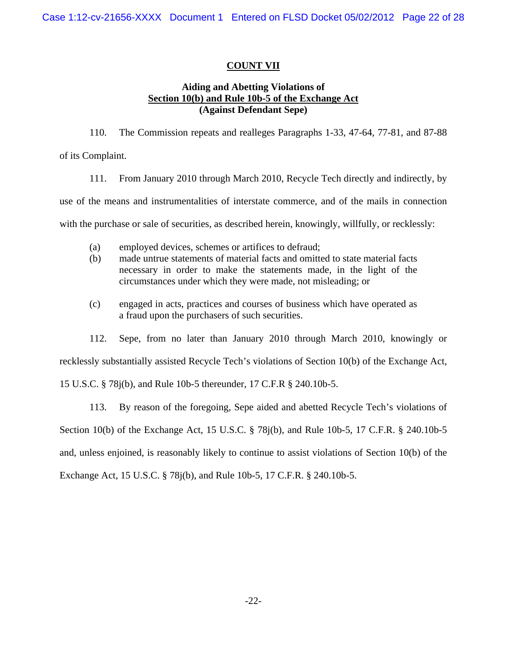# **COUNT VII**

## **Section 10(b) and Rule 10b-5 of the Exchange Act Aiding and Abetting Violations of (Against Defendant Sepe)**

110. The Commission repeats and realleges Paragraphs 1-33, 47-64, 77-81, and 87-88

of its Complaint.

111. From January 2010 through March 2010, Recycle Tech directly and indirectly, by

use of the means and instrumentalities of interstate commerce, and of the mails in connection

with the purchase or sale of securities, as described herein, knowingly, willfully, or recklessly:

- (a) employed devices, schemes or artifices to defraud;
- (b) made untrue statements of material facts and omitted to state material facts necessary in order to make the statements made, in the light of the circumstances under which they were made, not misleading; or
- (c) engaged in acts, practices and courses of business which have operated as a fraud upon the purchasers of such securities.

112. Sepe, from no later than January 2010 through March 2010, knowingly or

recklessly substantially assisted Recycle Tech's violations of Section 10(b) of the Exchange Act,

15 U.S.C. § 78j(b), and Rule 10b-5 thereunder, 17 C.F.R § 240.10b-5.

113. By reason of the foregoing, Sepe aided and abetted Recycle Tech's violations of Section 10(b) of the Exchange Act, 15 U.S.C. § 78j(b), and Rule 10b-5, 17 C.F.R. § 240.10b-5 and, unless enjoined, is reasonably likely to continue to assist violations of Section 10(b) of the Exchange Act, 15 U.S.C. § 78j(b), and Rule 10b-5, 17 C.F.R. § 240.10b-5.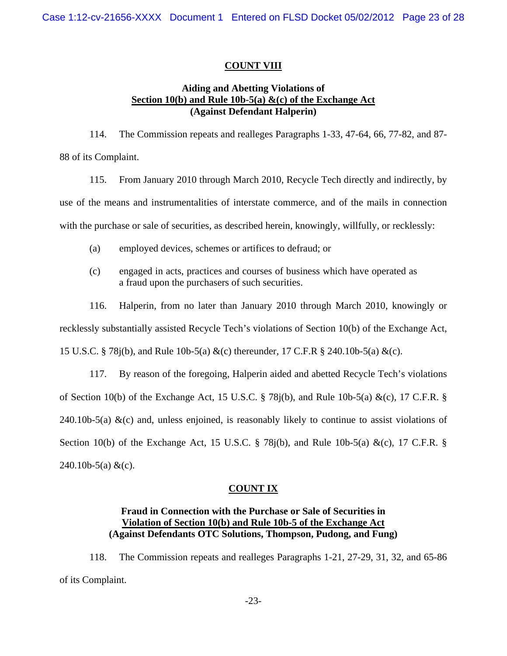## **COUNT VIII**

## **Section 10(b) and Rule 10b-5(a) &(c) of the Exchange Act Aiding and Abetting Violations of (Against Defendant Halperin)**

114. The Commission repeats and realleges Paragraphs 1-33, 47-64, 66, 77-82, and 87- 88 of its Complaint.

115. From January 2010 through March 2010, Recycle Tech directly and indirectly, by use of the means and instrumentalities of interstate commerce, and of the mails in connection with the purchase or sale of securities, as described herein, knowingly, willfully, or recklessly:

- (a) employed devices, schemes or artifices to defraud; or
- (c) engaged in acts, practices and courses of business which have operated as a fraud upon the purchasers of such securities.

116. Halperin, from no later than January 2010 through March 2010, knowingly or recklessly substantially assisted Recycle Tech's violations of Section 10(b) of the Exchange Act, 15 U.S.C. § 78j(b), and Rule 10b-5(a) &(c) thereunder, 17 C.F.R § 240.10b-5(a) &(c).

117. By reason of the foregoing, Halperin aided and abetted Recycle Tech's violations of Section 10(b) of the Exchange Act, 15 U.S.C.  $\S$  78j(b), and Rule 10b-5(a) &(c), 17 C.F.R.  $\S$ 240.10b-5(a)  $\&c)$  and, unless enjoined, is reasonably likely to continue to assist violations of Section 10(b) of the Exchange Act, 15 U.S.C. § 78 $j(b)$ , and Rule 10b-5(a) &(c), 17 C.F.R. §  $240.10b-5(a) \&c).$ 

## **COUNT IX**

# Violation of Section 10(b) and Rule 10b-5 of the Exchange Act **Fraud in Connection with the Purchase or Sale of Securities in (Against Defendants OTC Solutions, Thompson, Pudong, and Fung)**

118. The Commission repeats and realleges Paragraphs 1-21, 27-29, 31, 32, and 65-86 of its Complaint.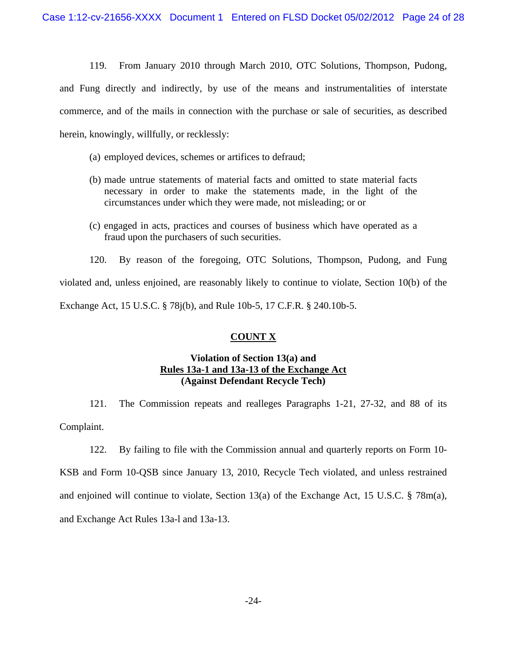119. From January 2010 through March 2010, OTC Solutions, Thompson, Pudong, and Fung directly and indirectly, by use of the means and instrumentalities of interstate commerce, and of the mails in connection with the purchase or sale of securities, as described herein, knowingly, willfully, or recklessly:

- (a) employed devices, schemes or artifices to defraud;
- (b) made untrue statements of material facts and omitted to state material facts necessary in order to make the statements made, in the light of the circumstances under which they were made, not misleading; or or
- (c) engaged in acts, practices and courses of business which have operated as a fraud upon the purchasers of such securities.

120. By reason of the foregoing, OTC Solutions, Thompson, Pudong, and Fung violated and, unless enjoined, are reasonably likely to continue to violate, Section 10(b) of the Exchange Act, 15 U.S.C. § 78j(b), and Rule 10b-5, 17 C.F.R. § 240.10b-5.

# **COUNT X**

# **Rules 13a-1 and 13a-13 of the Exchange Act Violation of Section 13(a) and (Against Defendant Recycle Tech)**

121. The Commission repeats and realleges Paragraphs 1-21, 27-32, and 88 of its Complaint.

122. By failing to file with the Commission annual and quarterly reports on Form 10-

KSB and Form 10-QSB since January 13, 2010, Recycle Tech violated, and unless restrained and enjoined will continue to violate, Section 13(a) of the Exchange Act, 15 U.S.C. § 78m(a), and Exchange Act Rules 13a-l and 13a-13.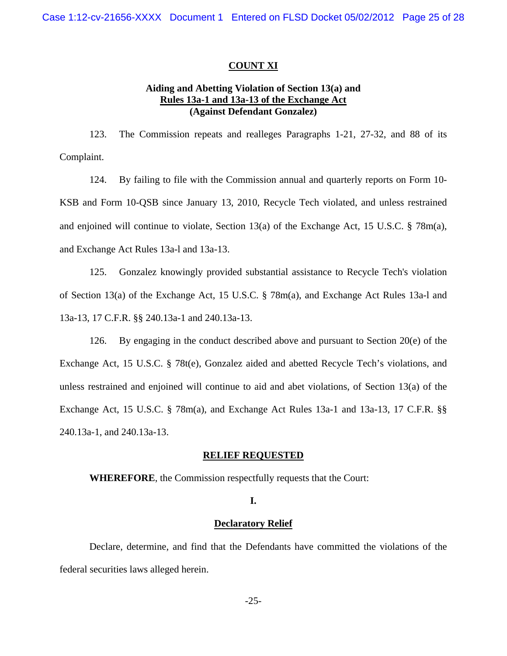#### **COUNT XI**

# **Rules 13a-1 and 13a-13 of the Exchange Act (Against Defendant Gonzalez) Aiding and Abetting Violation of Section 13(a) and**

123. The Commission repeats and realleges Paragraphs 1-21, 27-32, and 88 of its Complaint.

124. By failing to file with the Commission annual and quarterly reports on Form 10- KSB and Form 10-QSB since January 13, 2010, Recycle Tech violated, and unless restrained and enjoined will continue to violate, Section 13(a) of the Exchange Act, 15 U.S.C. § 78m(a), and Exchange Act Rules 13a-l and 13a-13.

125. Gonzalez knowingly provided substantial assistance to Recycle Tech's violation of Section 13(a) of the Exchange Act, 15 U.S.C. § 78m(a), and Exchange Act Rules 13a-l and 13a-13, 17 C.F.R. §§ 240.13a-1 and 240.13a-13.

126. By engaging in the conduct described above and pursuant to Section 20(e) of the Exchange Act, 15 U.S.C. § 78t(e), Gonzalez aided and abetted Recycle Tech's violations, and unless restrained and enjoined will continue to aid and abet violations, of Section 13(a) of the Exchange Act, 15 U.S.C. § 78m(a), and Exchange Act Rules 13a-1 and 13a-13, 17 C.F.R. §§ 240.13a-1, and 240.13a-13.

#### **RELIEF REQUESTED**

 **WHEREFORE**, the Commission respectfully requests that the Court:

#### **I.**

#### **Declaratory Relief**

Declare, determine, and find that the Defendants have committed the violations of the federal securities laws alleged herein.

-25-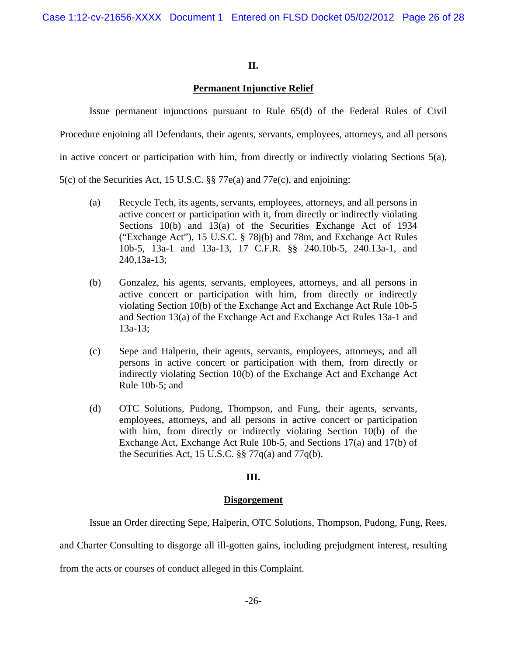## **II.**

# **Permanent Injunctive Relief**

Issue permanent injunctions pursuant to Rule 65(d) of the Federal Rules of Civil Procedure enjoining all Defendants, their agents, servants, employees, attorneys, and all persons in active concert or participation with him, from directly or indirectly violating Sections  $5(a)$ , 5(c) of the Securities Act, 15 U.S.C. §§ 77e(a) and 77e(c), and enjoining:

- (a) Recycle Tech, its agents, servants, employees, attorneys, and all persons in active concert or participation with it, from directly or indirectly violating Sections 10(b) and 13(a) of the Securities Exchange Act of 1934 ("Exchange Act"), 15 U.S.C. § 78j(b) and 78m, and Exchange Act Rules 10b-5, 13a-1 and 13a-13, 17 C.F.R. §§ 240.10b-5, 240.13a-1, and
	- (b) Gonzalez, his agents, servants, employees, attorneys, and all persons in active concert or participation with him, from directly or indirectly violating Section 10(b) of the Exchange Act and Exchange Act Rule 10b-5 and Section 13(a) of the Exchange Act and Exchange Act Rules 13a-1 and 13a-13;
	- (c) Sepe and Halperin, their agents, servants, employees, attorneys, and all persons in active concert or participation with them, from directly or indirectly violating Section 10(b) of the Exchange Act and Exchange Act Rule 10b-5; and
	- (d) OTC Solutions, Pudong, Thompson, and Fung, their agents, servants, employees, attorneys, and all persons in active concert or participation with him, from directly or indirectly violating Section 10(b) of the Exchange Act, Exchange Act Rule 10b-5, and Sections 17(a) and 17(b) of the Securities Act, 15 U.S.C. §§ 77q(a) and 77q(b).

# **III.**

## **Disgorgement**

Issue an Order directing Sepe, Halperin, OTC Solutions, Thompson, Pudong, Fung, Rees,

and Charter Consulting to disgorge all ill-gotten gains, including prejudgment interest, resulting

from the acts or courses of conduct alleged in this Complaint.

240,13a-13;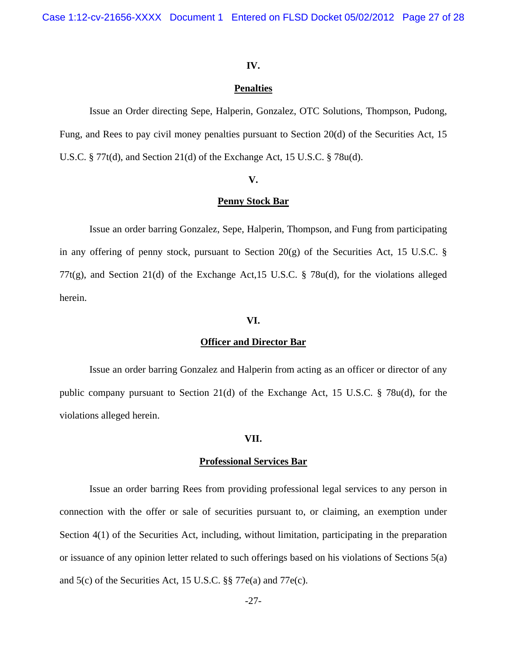Case 1:12-cv-21656-XXXX Document 1 Entered on FLSD Docket 05/02/2012 Page 27 of 28

#### **IV.**

#### **Penalties**

Issue an Order directing Sepe, Halperin, Gonzalez, OTC Solutions, Thompson, Pudong, Fung, and Rees to pay civil money penalties pursuant to Section 20(d) of the Securities Act, 15 U.S.C. § 77t(d), and Section 21(d) of the Exchange Act, 15 U.S.C. § 78u(d).

#### **V.**

#### **Penny Stock Bar**

Issue an order barring Gonzalez, Sepe, Halperin, Thompson, and Fung from participating in any offering of penny stock, pursuant to Section  $20(g)$  of the Securities Act, 15 U.S.C. § 77t(g), and Section 21(d) of the Exchange Act,15 U.S.C. § 78u(d), for the violations alleged herein.

#### **VI.**

#### **Officer and Director Bar**

Issue an order barring Gonzalez and Halperin from acting as an officer or director of any public company pursuant to Section 21(d) of the Exchange Act, 15 U.S.C. § 78u(d), for the violations alleged herein.

## **VII.**

#### **Professional Services Bar**

Issue an order barring Rees from providing professional legal services to any person in connection with the offer or sale of securities pursuant to, or claiming, an exemption under Section 4(1) of the Securities Act, including, without limitation, participating in the preparation or issuance of any opinion letter related to such offerings based on his violations of Sections 5(a) and 5(c) of the Securities Act, 15 U.S.C. §§ 77e(a) and 77e(c).